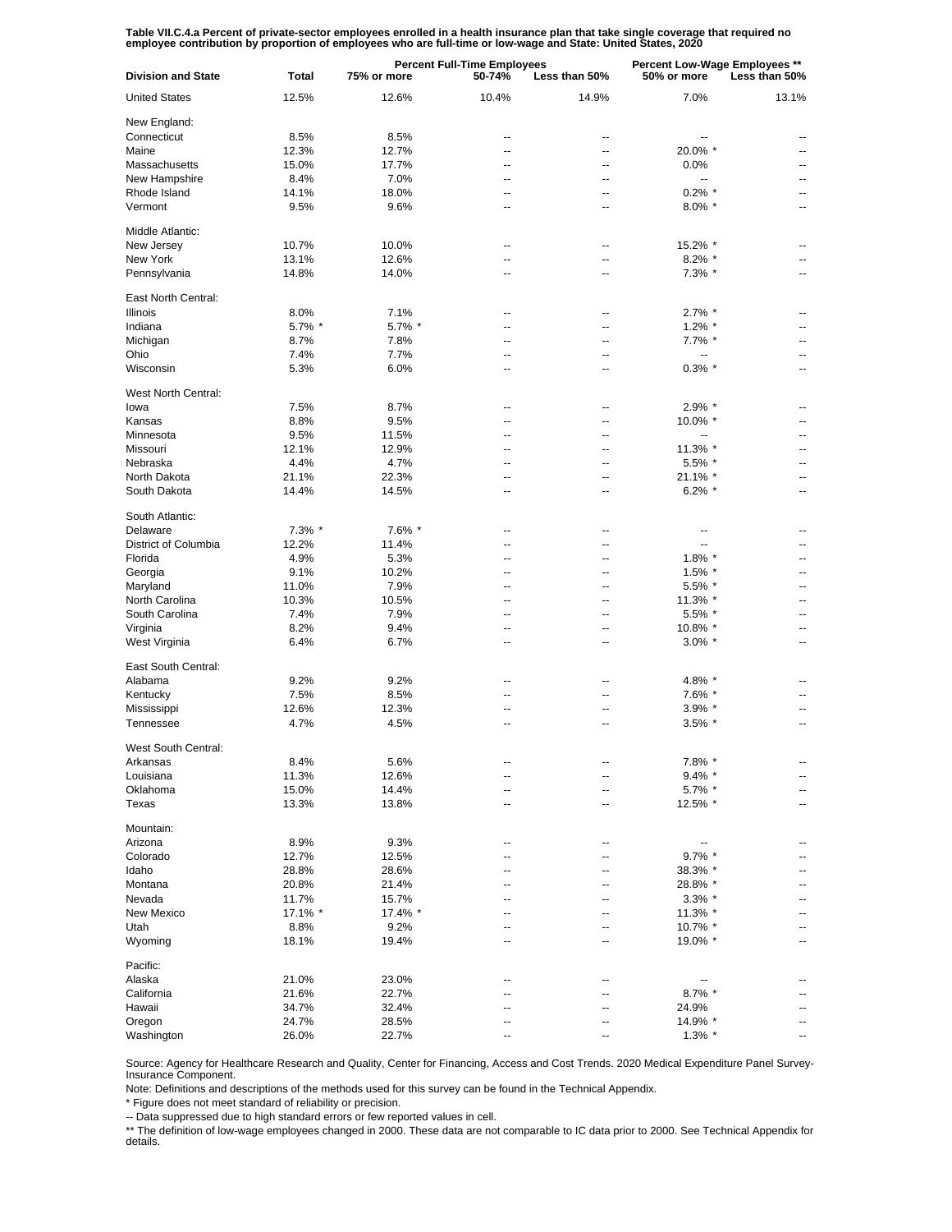Table VII.C.4.a Percent of private-sector employees enrolled in a health insurance plan that take single coverage that required no<br>employee contribution by proportion of employees who are full-time or low-wage and State: U

| <b>Division and State</b> | Total   | <b>Percent Full-Time Employees</b><br>75% or more<br>50-74%<br>Less than 50% |                | Percent Low-Wage Employees **<br>Less than 50%<br>50% or more |                |                |
|---------------------------|---------|------------------------------------------------------------------------------|----------------|---------------------------------------------------------------|----------------|----------------|
| <b>United States</b>      | 12.5%   | 12.6%                                                                        | 10.4%          | 14.9%                                                         | 7.0%           | 13.1%          |
| New England:              |         |                                                                              |                |                                                               |                |                |
| Connecticut               | 8.5%    | 8.5%                                                                         | $\overline{a}$ | --                                                            | $\overline{a}$ |                |
| Maine                     | 12.3%   | 12.7%                                                                        | $\overline{a}$ | $\overline{a}$                                                | 20.0% *        |                |
| Massachusetts             | 15.0%   | 17.7%                                                                        | -−             | --                                                            | 0.0%           |                |
| New Hampshire             | 8.4%    | 7.0%                                                                         | $\overline{a}$ | $\overline{\phantom{a}}$                                      | --             | $-$            |
| Rhode Island              | 14.1%   | 18.0%                                                                        | --             | $\overline{a}$                                                | $0.2\%$ *      |                |
| Vermont                   | 9.5%    | 9.6%                                                                         | $\overline{a}$ | --                                                            | $8.0\%$ *      | $\overline{a}$ |
| Middle Atlantic:          |         |                                                                              |                |                                                               |                |                |
| New Jersey                | 10.7%   | 10.0%                                                                        | --             | --                                                            | 15.2% *        |                |
| New York                  | 13.1%   | 12.6%                                                                        |                | --                                                            | $8.2\%$ *      |                |
| Pennsylvania              | 14.8%   | 14.0%                                                                        | --             | --                                                            | 7.3% *         | Ξ.             |
| East North Central:       |         |                                                                              |                |                                                               |                |                |
| Illinois                  | 8.0%    | 7.1%                                                                         | --             | --                                                            | $2.7\%$ *      | ۰.             |
| Indiana                   | 5.7% *  | 5.7% *                                                                       | --             | $\overline{\phantom{a}}$                                      | $1.2\%$ *      | --             |
| Michigan                  | 8.7%    | 7.8%                                                                         | --             | $\overline{\phantom{a}}$                                      | $7.7\%$ *      | ۰.             |
| Ohio                      | 7.4%    | 7.7%                                                                         | $\overline{a}$ | $\overline{\phantom{a}}$                                      | --             | ۰.             |
| Wisconsin                 | 5.3%    | 6.0%                                                                         | --             | $\overline{\phantom{a}}$                                      | $0.3\%$ *      | ۰.             |
| West North Central:       |         |                                                                              |                |                                                               |                |                |
| lowa                      | 7.5%    | 8.7%                                                                         | $\overline{a}$ | --                                                            | 2.9% *         |                |
| Kansas                    | 8.8%    | 9.5%                                                                         | $\overline{a}$ | $\overline{a}$                                                | 10.0% *        | $\overline{a}$ |
| Minnesota                 | 9.5%    | 11.5%                                                                        | --             | $\overline{a}$                                                | --             |                |
| Missouri                  | 12.1%   | 12.9%                                                                        | $\overline{a}$ | $\overline{\phantom{a}}$                                      | 11.3% *        | $\overline{a}$ |
| Nebraska                  | 4.4%    | 4.7%                                                                         | $\overline{a}$ | --                                                            | 5.5% *         | --             |
| North Dakota              | 21.1%   | 22.3%                                                                        | $\overline{a}$ | $\overline{a}$                                                | 21.1% *        | --             |
| South Dakota              | 14.4%   | 14.5%                                                                        | $\overline{a}$ | $\overline{a}$                                                | $6.2\%$ *      | --             |
| South Atlantic:           |         |                                                                              |                |                                                               |                |                |
| Delaware                  | 7.3% *  | 7.6% *                                                                       |                | --                                                            | ٠.             |                |
| District of Columbia      | 12.2%   | 11.4%                                                                        | --             | --                                                            | --             |                |
| Florida                   | 4.9%    | 5.3%                                                                         |                |                                                               | $1.8\%$ *      |                |
| Georgia                   | 9.1%    | 10.2%                                                                        | --             | --                                                            | $1.5\%$ *      |                |
| Maryland                  | 11.0%   | 7.9%                                                                         |                |                                                               | 5.5% *         |                |
| North Carolina            | 10.3%   | 10.5%                                                                        | --             | --                                                            | 11.3% *        |                |
| South Carolina            | 7.4%    | 7.9%                                                                         |                |                                                               | 5.5% *         |                |
| Virginia                  | 8.2%    | 9.4%                                                                         | --             | --                                                            | 10.8% *        |                |
| West Virginia             | 6.4%    | 6.7%                                                                         | --             |                                                               | $3.0\%$ *      |                |
| East South Central:       |         |                                                                              |                |                                                               |                |                |
| Alabama                   | 9.2%    | 9.2%                                                                         | --             | $\overline{\phantom{a}}$                                      | 4.8% *         | ۰.             |
| Kentucky                  | 7.5%    | 8.5%                                                                         | --             | $\overline{\phantom{a}}$                                      | 7.6% *         | ۰.             |
| Mississippi               | 12.6%   | 12.3%                                                                        | --             | $\overline{\phantom{a}}$                                      | $3.9\%$ *      | ۰.             |
| Tennessee                 | 4.7%    | 4.5%                                                                         | ۰.             | --                                                            | $3.5\%$ *      | --             |
| West South Central:       |         |                                                                              |                |                                                               |                |                |
| Arkansas                  | 8.4%    | 5.6%                                                                         |                |                                                               | 7.8% *         |                |
| Louisiana                 | 11.3%   | 12.6%                                                                        |                |                                                               | $9.4\%$ *      |                |
| Oklahoma                  | 15.0%   | 14.4%                                                                        |                |                                                               | $5.7\%$ *      |                |
| Texas                     | 13.3%   | 13.8%                                                                        | --             |                                                               | 12.5% *        |                |
| Mountain:                 |         |                                                                              |                |                                                               |                |                |
| Arizona                   | 8.9%    | 9.3%                                                                         |                |                                                               |                |                |
| Colorado                  | 12.7%   | 12.5%                                                                        |                |                                                               | $9.7\%$ *      |                |
| Idaho                     | 28.8%   | 28.6%                                                                        |                |                                                               | 38.3% *        |                |
| Montana                   | 20.8%   | 21.4%                                                                        |                |                                                               | 28.8% *        |                |
| Nevada                    | 11.7%   | 15.7%                                                                        |                |                                                               | $3.3\%$ *      |                |
| <b>New Mexico</b>         | 17.1% * | 17.4% *                                                                      |                |                                                               | 11.3% *        |                |
| Utah                      | 8.8%    | 9.2%                                                                         |                |                                                               | 10.7% *        |                |
| Wyoming                   | 18.1%   | 19.4%                                                                        |                |                                                               | 19.0% *        | ۰.             |
| Pacific:                  |         |                                                                              |                |                                                               |                |                |
| Alaska                    | 21.0%   | 23.0%                                                                        | --             |                                                               | --             |                |
| California                | 21.6%   | 22.7%                                                                        | -−             |                                                               | $8.7\%$ *      | ۰.             |
| Hawaii                    | 34.7%   | 32.4%                                                                        |                |                                                               | 24.9%          | ۰.             |
| Oregon                    | 24.7%   | 28.5%                                                                        | --             |                                                               | 14.9% *        | --             |
| Washington                | 26.0%   | 22.7%                                                                        | --             | --                                                            | $1.3\%$ *      | --             |

Source: Agency for Healthcare Research and Quality, Center for Financing, Access and Cost Trends. 2020 Medical Expenditure Panel Survey-Insurance Component.

Note: Definitions and descriptions of the methods used for this survey can be found in the Technical Appendix.

\* Figure does not meet standard of reliability or precision.

-- Data suppressed due to high standard errors or few reported values in cell.

\*\* The definition of low-wage employees changed in 2000. These data are not comparable to IC data prior to 2000. See Technical Appendix for details.